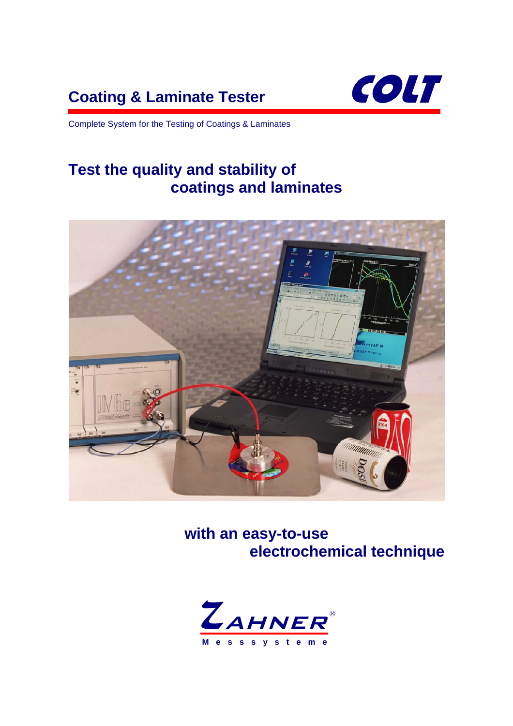# **Coating & Laminate Tester COLT**



Complete System for the Testing of Coatings & Laminates

# **Test the quality and stability of coatings and laminates**



**with an easy-to-use electrochemical technique**

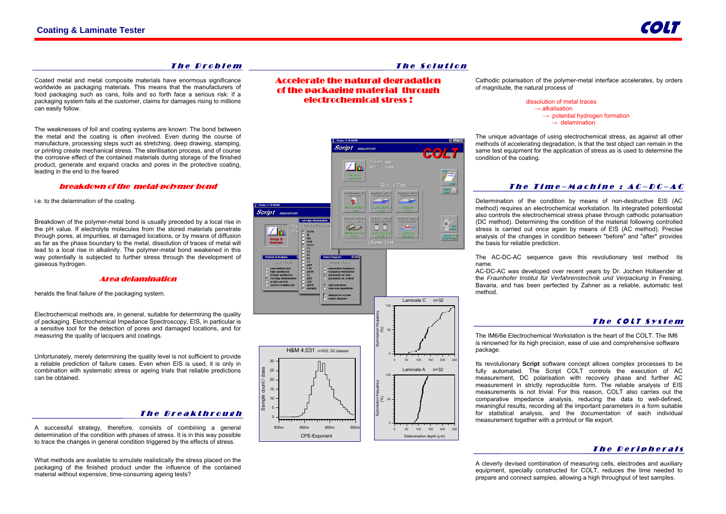#### The Problem

Coated metal and metal composite materials have enormous significance worldwide as packaging materials. This means that the manufacturers of food packaging such as cans, foils and so forth face a serious risk: if a packaging system fails at the customer, claims for damages rising to millions can easily follow.

The weaknesses of foil and coating systems are known: The bond between the metal and the coating is often involved. Even during the course of manufacture, processing steps such as stretching, deep drawing, stamping, or printing create mechanical stress. The sterilisation process, and of course the corrosive effect of the contained materials during storage of the finished product, generate and expand cracks and pores in the protective coating, leading in the end to the feared

#### breakdown of the metal-polymer bond

i.e. to the delamination of the coating.

Breakdown of the polymer-metal bond is usually preceded by a local rise in the pH value. If electrolyte molecules from the stored materials penetrate through pores, at impurities, at damaged locations, or by means of diffusion as far as the phase boundary to the metal, dissolution of traces of metal will lead to a local rise in alkalinity. The polymer-metal bond weakened in this way potentially is subjected to further stress through the development of gaseous hydrogen.

 dissolution of metal traces  $\rightarrow$  alkalisation  $\rightarrow$  potential hydrogen formation  $\rightarrow$  delamination

#### Area delamination

heralds the final failure of the packaging system.

Electrochemical methods are, in general, suitable for determining the quality of packaging. Electrochemical Impedance Spectroscopy, EIS, in particular is a sensitive tool for the detection of pores and damaged locations, and for measuring the quality of lacquers and coatings.

Unfortunately, merely determining the quality level is not sufficient to provide a reliable prediction of failure cases. Even when EIS is used, it is only in combination with systematic stress or ageing trials that reliable predictions can be obtained.

#### The Breakthrough

A successful strategy, therefore, consists of combining a general determination of the condition with phases of stress. It is in this way possible to trace the changes in general condition triggered by the effects of stress.

What methods are available to simulate realistically the stress placed on the packaging of the finished product under the influence of the contained material without expensive, time-consuming ageing tests?

#### The Solution

Test

Accelerate the natural degradation of the packaging material through electrochemical stress !

**Script** sequence

**Script** sequencer

Cathodic polarisation of the polymer-metal interface accelerates, by orders

#### The Time-Machine :  $\boldsymbol{\mathcal{A}}\boldsymbol{\mathcal{C}}\text{-}\boldsymbol{\mathcal{D}}\boldsymbol{\mathcal{C}}\text{-}\boldsymbol{\mathcal{A}}\boldsymbol{\mathcal{C}}$

#### The COLT System

#### The Peripherals



The unique advantage of using electrochemical stress, as against all other methods of accelerating degradation, is that the test object can remain in the same test equipment for the application of stress as is used to determine the condition of the coating.

Determination of the condition by means of non-destructive EIS (AC method) requires an electrochemical workstation. Its integrated potentiostat also controls the electrochemical stress phase through cathodic polarisation (DC method). Determining the condition of the material following controlled stress is carried out once again by means of EIS (AC method). Precise analysis of the changes in condition between "before" and "after" provides the basis for reliable prediction.

The AC-DC-AC sequence gave this revolutionary test method its name.

AC-DC-AC was developed over recent years by Dr. Jochen Hollaender at the *Fraunhofer Institut für Verfahrenstechnik und Verpackung* in Freising, Bavaria, and has been perfected by Zahner as a reliable, automatic test method.

The IM6/6e Electrochemical Workstation is the heart of the COLT. The IM6 is renowned for its high precision, ease of use and comprehensive software package.

Its revolutionary **Script** software concept allows complex processes to be fully automated. The Script COLT controls the execution of AC measurement, DC polarisation with recovery phase and further AC measurement in strictly reproducible form. The reliable analysis of EIS measurements is not trivial. For this reason, COLT also carries out the comparative impedance analysis, reducing the data to well-defined, meaningful results, recording all the important parameters in a form suitable for statistical analysis, and the documentation of each individual measurement together with a printout or file export.

A cleverly devised combination of measuring cells, electrodes and auxiliary equipment, specially constructed for COLT, reduces the time needed to prepare and connect samples, allowing a high throughput of test samples.